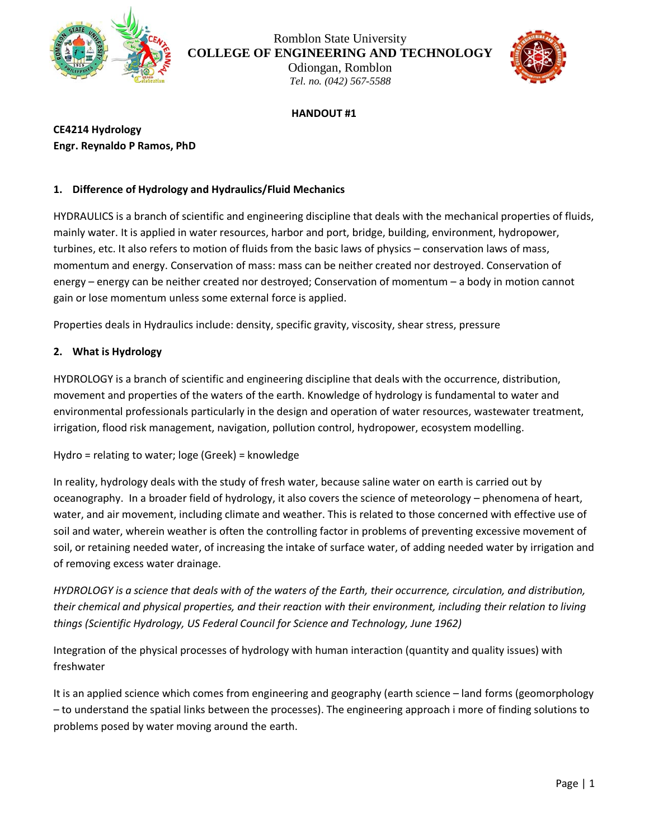

# Romblon State University **COLLEGE OF ENGINEERING AND TECHNOLOGY**

Odiongan, Romblon *Tel. no. (042) 567-5588*



#### **HANDOUT #1**

**CE4214 Hydrology Engr. Reynaldo P Ramos, PhD**

## **1. Difference of Hydrology and Hydraulics/Fluid Mechanics**

HYDRAULICS is a branch of scientific and engineering discipline that deals with the mechanical properties of fluids, mainly water. It is applied in water resources, harbor and port, bridge, building, environment, hydropower, turbines, etc. It also refers to motion of fluids from the basic laws of physics – conservation laws of mass, momentum and energy. Conservation of mass: mass can be neither created nor destroyed. Conservation of energy – energy can be neither created nor destroyed; Conservation of momentum – a body in motion cannot gain or lose momentum unless some external force is applied.

Properties deals in Hydraulics include: density, specific gravity, viscosity, shear stress, pressure

# **2. What is Hydrology**

HYDROLOGY is a branch of scientific and engineering discipline that deals with the occurrence, distribution, movement and properties of the waters of the earth. Knowledge of hydrology is fundamental to water and environmental professionals particularly in the design and operation of water resources, wastewater treatment, irrigation, flood risk management, navigation, pollution control, hydropower, ecosystem modelling.

Hydro = relating to water; loge (Greek) = knowledge

In reality, hydrology deals with the study of fresh water, because saline water on earth is carried out by oceanography. In a broader field of hydrology, it also covers the science of meteorology – phenomena of heart, water, and air movement, including climate and weather. This is related to those concerned with effective use of soil and water, wherein weather is often the controlling factor in problems of preventing excessive movement of soil, or retaining needed water, of increasing the intake of surface water, of adding needed water by irrigation and of removing excess water drainage.

*HYDROLOGY is a science that deals with of the waters of the Earth, their occurrence, circulation, and distribution, their chemical and physical properties, and their reaction with their environment, including their relation to living things (Scientific Hydrology, US Federal Council for Science and Technology, June 1962)*

Integration of the physical processes of hydrology with human interaction (quantity and quality issues) with freshwater

It is an applied science which comes from engineering and geography (earth science – land forms (geomorphology – to understand the spatial links between the processes). The engineering approach i more of finding solutions to problems posed by water moving around the earth.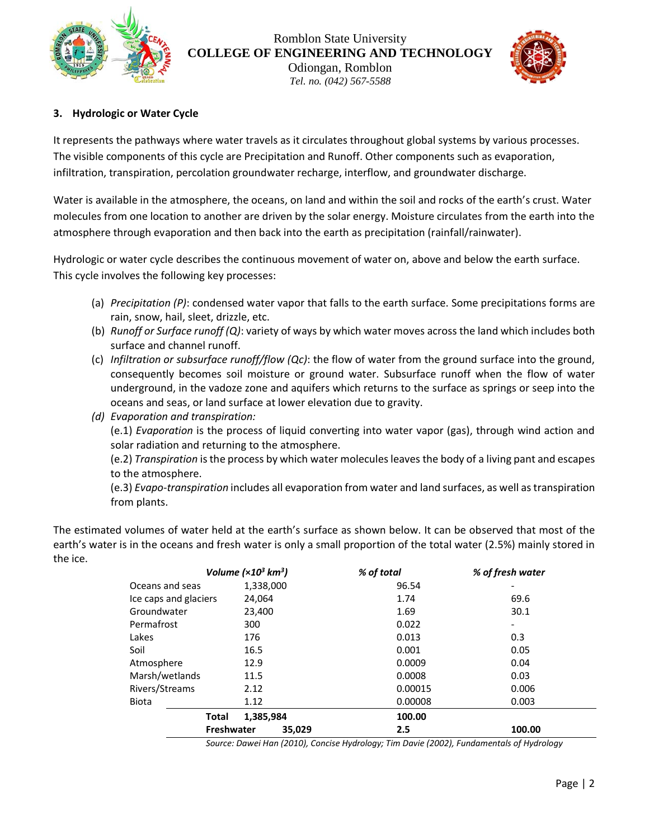

Romblon State University **COLLEGE OF ENGINEERING AND TECHNOLOGY** Odiongan, Romblon *Tel. no. (042) 567-5588*

# **3. Hydrologic or Water Cycle**

It represents the pathways where water travels as it circulates throughout global systems by various processes. The visible components of this cycle are Precipitation and Runoff. Other components such as evaporation, infiltration, transpiration, percolation groundwater recharge, interflow, and groundwater discharge.

Water is available in the atmosphere, the oceans, on land and within the soil and rocks of the earth's crust. Water molecules from one location to another are driven by the solar energy. Moisture circulates from the earth into the atmosphere through evaporation and then back into the earth as precipitation (rainfall/rainwater).

Hydrologic or water cycle describes the continuous movement of water on, above and below the earth surface. This cycle involves the following key processes:

- (a) *Precipitation (P)*: condensed water vapor that falls to the earth surface. Some precipitations forms are rain, snow, hail, sleet, drizzle, etc.
- (b) *Runoff or Surface runoff (Q)*: variety of ways by which water moves across the land which includes both surface and channel runoff.
- (c) *Infiltration or subsurface runoff/flow (Qc)*: the flow of water from the ground surface into the ground, consequently becomes soil moisture or ground water. Subsurface runoff when the flow of water underground, in the vadoze zone and aquifers which returns to the surface as springs or seep into the oceans and seas, or land surface at lower elevation due to gravity.
- *(d) Evaporation and transpiration:*

(e.1) *Evaporation* is the process of liquid converting into water vapor (gas), through wind action and solar radiation and returning to the atmosphere.

(e.2) *Transpiration* is the process by which water molecules leaves the body of a living pant and escapes to the atmosphere.

(e.3) *Evapo-transpiration* includes all evaporation from water and land surfaces, as well as transpiration from plants.

The estimated volumes of water held at the earth's surface as shown below. It can be observed that most of the earth's water is in the oceans and fresh water is only a small proportion of the total water (2.5%) mainly stored in the ice.

|                       | Volume $(x10^3 \text{ km}^3)$ | % of total | % of fresh water |
|-----------------------|-------------------------------|------------|------------------|
| Oceans and seas       | 1,338,000                     | 96.54      |                  |
| Ice caps and glaciers | 24,064                        | 1.74       | 69.6             |
| Groundwater           | 23,400                        | 1.69       | 30.1             |
| Permafrost            | 300                           | 0.022      |                  |
| Lakes                 | 176                           | 0.013      | 0.3              |
| Soil                  | 16.5                          | 0.001      | 0.05             |
| Atmosphere            | 12.9                          | 0.0009     | 0.04             |
| Marsh/wetlands        | 11.5                          | 0.0008     | 0.03             |
| Rivers/Streams        | 2.12                          | 0.00015    | 0.006            |
| <b>Biota</b>          | 1.12                          | 0.00008    | 0.003            |
|                       | 1,385,984<br>Total            | 100.00     |                  |
|                       | <b>Freshwater</b><br>35,029   | 2.5        | 100.00           |

*Source: Dawei Han (2010), Concise Hydrology; Tim Davie (2002), Fundamentals of Hydrology*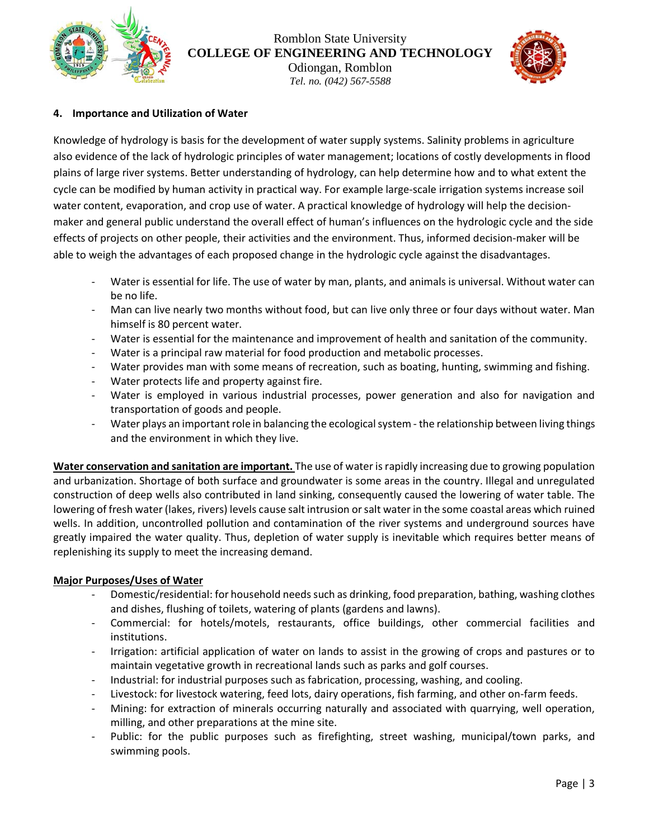

Romblon State University **COLLEGE OF ENGINEERING AND TECHNOLOGY**

Odiongan, Romblon *Tel. no. (042) 567-5588*



## **4. Importance and Utilization of Water**

Knowledge of hydrology is basis for the development of water supply systems. Salinity problems in agriculture also evidence of the lack of hydrologic principles of water management; locations of costly developments in flood plains of large river systems. Better understanding of hydrology, can help determine how and to what extent the cycle can be modified by human activity in practical way. For example large-scale irrigation systems increase soil water content, evaporation, and crop use of water. A practical knowledge of hydrology will help the decisionmaker and general public understand the overall effect of human's influences on the hydrologic cycle and the side effects of projects on other people, their activities and the environment. Thus, informed decision-maker will be able to weigh the advantages of each proposed change in the hydrologic cycle against the disadvantages.

- Water is essential for life. The use of water by man, plants, and animals is universal. Without water can be no life.
- Man can live nearly two months without food, but can live only three or four days without water. Man himself is 80 percent water.
- Water is essential for the maintenance and improvement of health and sanitation of the community.
- Water is a principal raw material for food production and metabolic processes.
- Water provides man with some means of recreation, such as boating, hunting, swimming and fishing.
- Water protects life and property against fire.
- Water is employed in various industrial processes, power generation and also for navigation and transportation of goods and people.
- Water plays an important role in balancing the ecological system the relationship between living things and the environment in which they live.

**Water conservation and sanitation are important.** The use of water is rapidly increasing due to growing population and urbanization. Shortage of both surface and groundwater is some areas in the country. Illegal and unregulated construction of deep wells also contributed in land sinking, consequently caused the lowering of water table. The lowering of fresh water (lakes, rivers) levels cause salt intrusion or salt water in the some coastal areas which ruined wells. In addition, uncontrolled pollution and contamination of the river systems and underground sources have greatly impaired the water quality. Thus, depletion of water supply is inevitable which requires better means of replenishing its supply to meet the increasing demand.

## **Major Purposes/Uses of Water**

- Domestic/residential: for household needs such as drinking, food preparation, bathing, washing clothes and dishes, flushing of toilets, watering of plants (gardens and lawns).
- Commercial: for hotels/motels, restaurants, office buildings, other commercial facilities and institutions.
- Irrigation: artificial application of water on lands to assist in the growing of crops and pastures or to maintain vegetative growth in recreational lands such as parks and golf courses.
- Industrial: for industrial purposes such as fabrication, processing, washing, and cooling.
- Livestock: for livestock watering, feed lots, dairy operations, fish farming, and other on-farm feeds.
- Mining: for extraction of minerals occurring naturally and associated with quarrying, well operation, milling, and other preparations at the mine site.
- Public: for the public purposes such as firefighting, street washing, municipal/town parks, and swimming pools.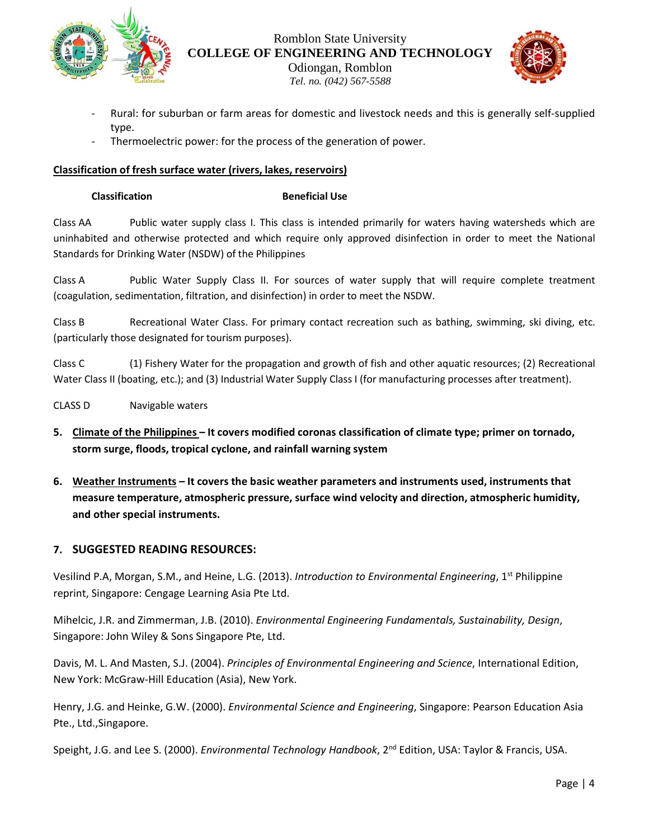

Romblon State University **COLLEGE OF ENGINEERING AND TECHNOLOGY**

Odiongan, Romblon *Tel. no. (042) 567-5588*



- Rural: for suburban or farm areas for domestic and livestock needs and this is generally self-supplied type.
- Thermoelectric power: for the process of the generation of power.

## **Classification of fresh surface water (rivers, lakes, reservoirs)**

#### **Classification Beneficial Use**

Class AA Public water supply class I. This class is intended primarily for waters having watersheds which are uninhabited and otherwise protected and which require only approved disinfection in order to meet the National Standards for Drinking Water (NSDW) of the Philippines

Class A Public Water Supply Class II. For sources of water supply that will require complete treatment (coagulation, sedimentation, filtration, and disinfection) in order to meet the NSDW.

Class B Recreational Water Class. For primary contact recreation such as bathing, swimming, ski diving, etc. (particularly those designated for tourism purposes).

Class C (1) Fishery Water for the propagation and growth of fish and other aquatic resources; (2) Recreational Water Class II (boating, etc.); and (3) Industrial Water Supply Class I (for manufacturing processes after treatment).

CLASS D Navigable waters

- **5. Climate of the Philippines – It covers modified coronas classification of climate type; primer on tornado, storm surge, floods, tropical cyclone, and rainfall warning system**
- **6. Weather Instruments – It covers the basic weather parameters and instruments used, instruments that measure temperature, atmospheric pressure, surface wind velocity and direction, atmospheric humidity, and other special instruments.**

## **7. SUGGESTED READING RESOURCES:**

Vesilind P.A, Morgan, S.M., and Heine, L.G. (2013). *Introduction to Environmental Engineering*, 1st Philippine reprint, Singapore: Cengage Learning Asia Pte Ltd.

Mihelcic, J.R. and Zimmerman, J.B. (2010). *Environmental Engineering Fundamentals, Sustainability, Design*, Singapore: John Wiley & Sons Singapore Pte, Ltd.

Davis, M. L. And Masten, S.J. (2004). *Principles of Environmental Engineering and Science*, International Edition, New York: McGraw-Hill Education (Asia), New York.

Henry, J.G. and Heinke, G.W. (2000). *Environmental Science and Engineering*, Singapore: Pearson Education Asia Pte., Ltd.,Singapore.

Speight, J.G. and Lee S. (2000). *Environmental Technology Handbook*, 2nd Edition, USA: Taylor & Francis, USA.